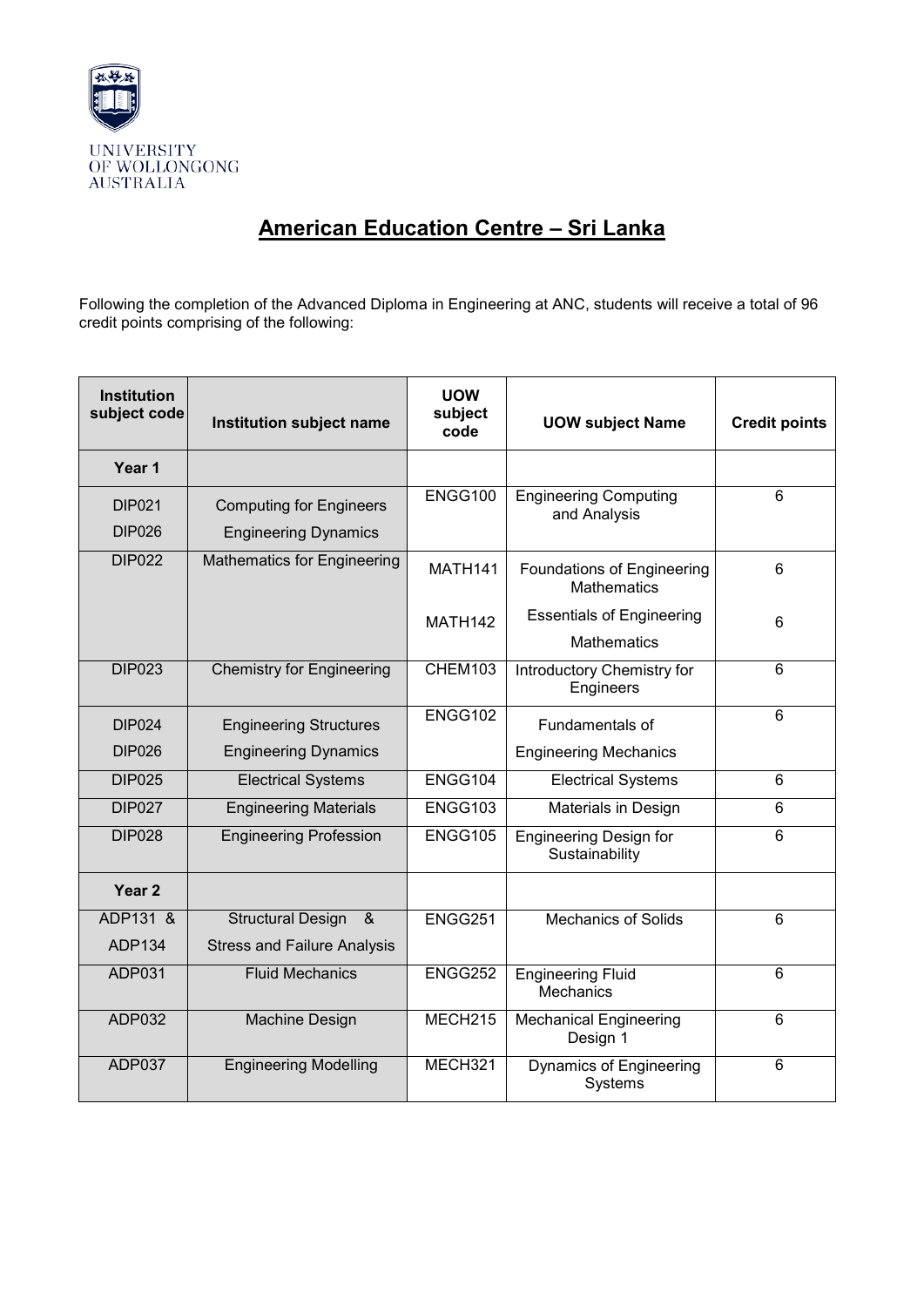

## **American Education Centre – Sri Lanka**

Following the completion of the Advanced Diploma in Engineering at ANC, students will receive a total of 96 credit points comprising of the following:

| <b>Institution</b><br>subject code | Institution subject name                                      | <b>UOW</b><br>subject<br>code | <b>UOW subject Name</b>                                | <b>Credit points</b> |
|------------------------------------|---------------------------------------------------------------|-------------------------------|--------------------------------------------------------|----------------------|
| Year 1                             |                                                               |                               |                                                        |                      |
| DIP021<br><b>DIP026</b>            | <b>Computing for Engineers</b><br><b>Engineering Dynamics</b> | ENGG100                       | <b>Engineering Computing</b><br>and Analysis           | 6                    |
| <b>DIP022</b>                      | <b>Mathematics for Engineering</b>                            | <b>MATH141</b>                | Foundations of Engineering<br><b>Mathematics</b>       | 6                    |
|                                    |                                                               | <b>MATH142</b>                | <b>Essentials of Engineering</b><br><b>Mathematics</b> | 6                    |
| <b>DIP023</b>                      | <b>Chemistry for Engineering</b>                              | CHEM103                       | Introductory Chemistry for<br>Engineers                | $\overline{6}$       |
| <b>DIP024</b>                      | <b>Engineering Structures</b>                                 | ENGG102                       | Fundamentals of                                        | 6                    |
| <b>DIP026</b>                      | <b>Engineering Dynamics</b>                                   |                               | <b>Engineering Mechanics</b>                           |                      |
| <b>DIP025</b>                      | <b>Electrical Systems</b>                                     | ENGG104                       | <b>Electrical Systems</b>                              | 6                    |
| <b>DIP027</b>                      | <b>Engineering Materials</b>                                  | ENGG103                       | Materials in Design                                    | 6                    |
| <b>DIP028</b>                      | <b>Engineering Profession</b>                                 | ENGG105                       | <b>Engineering Design for</b><br>Sustainability        | 6                    |
| Year <sub>2</sub>                  |                                                               |                               |                                                        |                      |
| ADP131 &                           | <b>Structural Design</b><br>$\alpha$                          | ENGG251                       | <b>Mechanics of Solids</b>                             | 6                    |
| ADP134                             | <b>Stress and Failure Analysis</b>                            |                               |                                                        |                      |
| ADP031                             | <b>Fluid Mechanics</b>                                        | ENGG252                       | <b>Engineering Fluid</b><br><b>Mechanics</b>           | 6                    |
| ADP032                             | Machine Design                                                | MECH215                       | <b>Mechanical Engineering</b><br>Design 1              | 6                    |
| ADP037                             | <b>Engineering Modelling</b>                                  | MECH321                       | <b>Dynamics of Engineering</b><br>Systems              | 6                    |